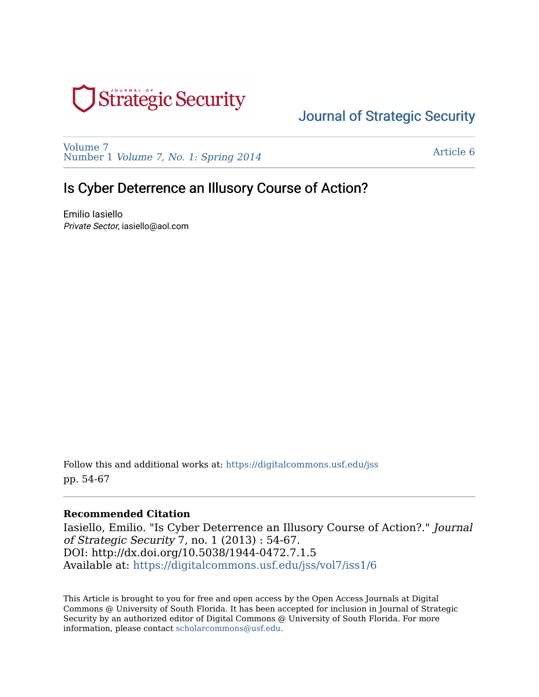

# [Journal of Strategic Security](https://digitalcommons.usf.edu/jss)

[Volume 7](https://digitalcommons.usf.edu/jss/vol7)  Number 1 [Volume 7, No. 1: Spring 2014](https://digitalcommons.usf.edu/jss/vol7/iss1) 

[Article 6](https://digitalcommons.usf.edu/jss/vol7/iss1/6) 

## Is Cyber Deterrence an Illusory Course of Action?

Emilio Iasiello Private Sector, iasiello@aol.com

Follow this and additional works at: [https://digitalcommons.usf.edu/jss](https://digitalcommons.usf.edu/jss?utm_source=digitalcommons.usf.edu%2Fjss%2Fvol7%2Fiss1%2F6&utm_medium=PDF&utm_campaign=PDFCoverPages) pp. 54-67

#### **Recommended Citation**

Iasiello, Emilio. "Is Cyber Deterrence an Illusory Course of Action?." Journal of Strategic Security 7, no. 1 (2013) : 54-67. DOI: http://dx.doi.org/10.5038/1944-0472.7.1.5 Available at: [https://digitalcommons.usf.edu/jss/vol7/iss1/6](https://digitalcommons.usf.edu/jss/vol7/iss1/6?utm_source=digitalcommons.usf.edu%2Fjss%2Fvol7%2Fiss1%2F6&utm_medium=PDF&utm_campaign=PDFCoverPages)

This Article is brought to you for free and open access by the Open Access Journals at Digital Commons @ University of South Florida. It has been accepted for inclusion in Journal of Strategic Security by an authorized editor of Digital Commons @ University of South Florida. For more information, please contact [scholarcommons@usf.edu.](mailto:scholarcommons@usf.edu)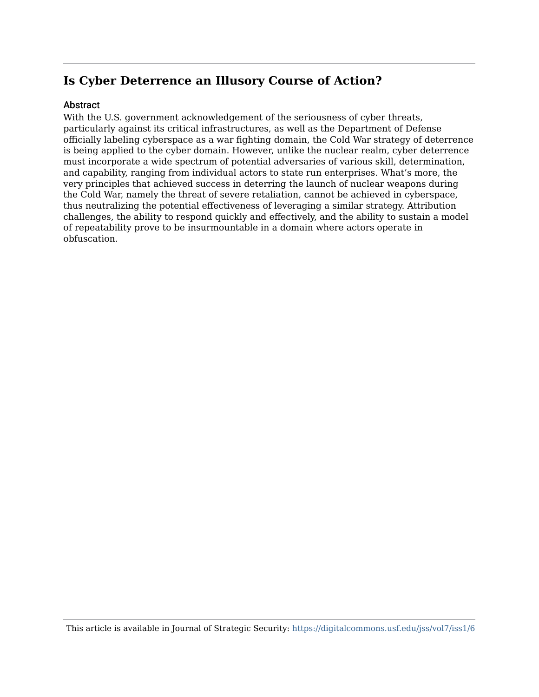## **Is Cyber Deterrence an Illusory Course of Action?**

#### **Abstract**

With the U.S. government acknowledgement of the seriousness of cyber threats, particularly against its critical infrastructures, as well as the Department of Defense officially labeling cyberspace as a war fighting domain, the Cold War strategy of deterrence is being applied to the cyber domain. However, unlike the nuclear realm, cyber deterrence must incorporate a wide spectrum of potential adversaries of various skill, determination, and capability, ranging from individual actors to state run enterprises. What's more, the very principles that achieved success in deterring the launch of nuclear weapons during the Cold War, namely the threat of severe retaliation, cannot be achieved in cyberspace, thus neutralizing the potential effectiveness of leveraging a similar strategy. Attribution challenges, the ability to respond quickly and effectively, and the ability to sustain a model of repeatability prove to be insurmountable in a domain where actors operate in obfuscation.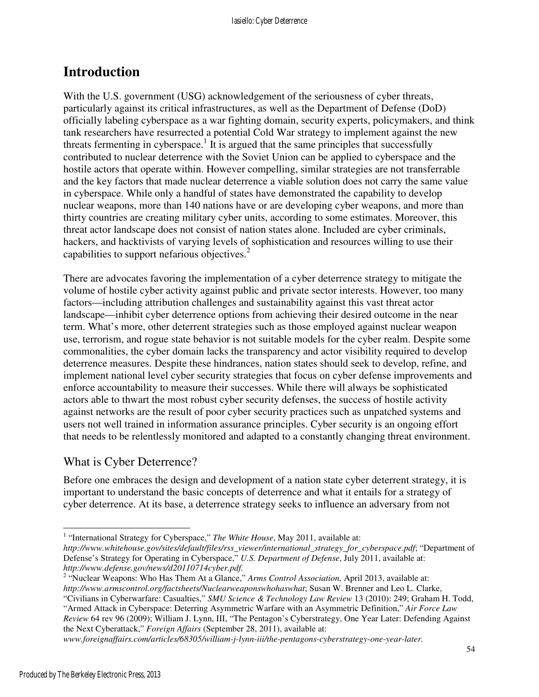## **Introduction**

With the U.S. government (USG) acknowledgement of the seriousness of cyber threats, particularly against its critical infrastructures, as well as the Department of Defense (DoD) officially labeling cyberspace as a war fighting domain, security experts, policymakers, and think tank researchers have resurrected a potential Cold War strategy to implement against the new threats fermenting in cyberspace.<sup>1</sup> It is argued that the same principles that successfully contributed to nuclear deterrence with the Soviet Union can be applied to cyberspace and the hostile actors that operate within. However compelling, similar strategies are not transferrable and the key factors that made nuclear deterrence a viable solution does not carry the same value in cyberspace. While only a handful of states have demonstrated the capability to develop nuclear weapons, more than 140 nations have or are developing cyber weapons, and more than thirty countries are creating military cyber units, according to some estimates. Moreover, this threat actor landscape does not consist of nation states alone. Included are cyber criminals, hackers, and hacktivists of varying levels of sophistication and resources willing to use their capabilities to support nefarious objectives. $2$ 

There are advocates favoring the implementation of a cyber deterrence strategy to mitigate the volume of hostile cyber activity against public and private sector interests. However, too many factors—including attribution challenges and sustainability against this vast threat actor landscape—inhibit cyber deterrence options from achieving their desired outcome in the near term. What's more, other deterrent strategies such as those employed against nuclear weapon use, terrorism, and rogue state behavior is not suitable models for the cyber realm. Despite some commonalities, the cyber domain lacks the transparency and actor visibility required to develop deterrence measures. Despite these hindrances, nation states should seek to develop, refine, and implement national level cyber security strategies that focus on cyber defense improvements and enforce accountability to measure their successes. While there will always be sophisticated actors able to thwart the most robust cyber security defenses, the success of hostile activity against networks are the result of poor cyber security practices such as unpatched systems and users not well trained in information assurance principles. Cyber security is an ongoing effort that needs to be relentlessly monitored and adapted to a constantly changing threat environment.

## What is Cyber Deterrence?

Before one embraces the design and development of a nation state cyber deterrent strategy, it is important to understand the basic concepts of deterrence and what it entails for a strategy of cyber deterrence. At its base, a deterrence strategy seeks to influence an adversary from not

*http://www.whitehouse.gov/sites/default/files/rss\_viewer/international\_strategy\_for\_cyberspace.pdf*; "Department of Defense's Strategy for Operating in Cyberspace," *U.S. Department of Defense*, July 2011, available at: *http://www.defense.gov/news/d20110714cyber.pdf.*

"Civilians in Cyberwarfare: Casualties," *SMU Science & Technology Law Review* 13 (2010): 249; Graham H. Todd, "Armed Attack in Cyberspace: Deterring Asymmetric Warfare with an Asymmetric Definition," *Air Force Law* 

*Review* 64 rev 96 (2009); William J. Lynn, III, "The Pentagon's Cyberstrategy, One Year Later: Defending Against the Next Cyberattack," *Foreign Affairs* (September 28, 2011), available at:

*www.foreignaffairs.com/articles/68305/william-j-lynn-iii/the-pentagons-cyberstrategy-one-year-later.*

 1 "International Strategy for Cyberspace," *The White House*, May 2011, available at:

<sup>&</sup>lt;sup>2</sup> "Nuclear Weapons: Who Has Them At a Glance," Arms Control Association, April 2013, available at: *http://www.armscontrol.org/factsheets/Nuclearweaponswhohaswhat*; Susan W. Brenner and Leo L. Clarke,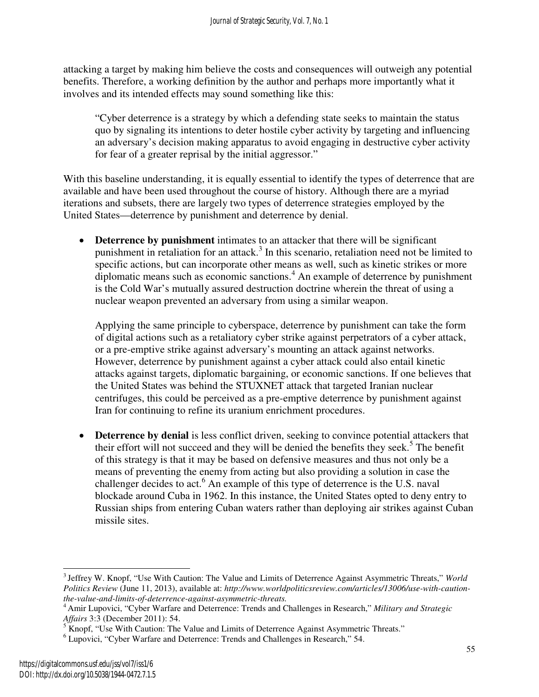attacking a target by making him believe the costs and consequences will outweigh any potential benefits. Therefore, a working definition by the author and perhaps more importantly what it involves and its intended effects may sound something like this:

"Cyber deterrence is a strategy by which a defending state seeks to maintain the status quo by signaling its intentions to deter hostile cyber activity by targeting and influencing an adversary's decision making apparatus to avoid engaging in destructive cyber activity for fear of a greater reprisal by the initial aggressor."

With this baseline understanding, it is equally essential to identify the types of deterrence that are available and have been used throughout the course of history. Although there are a myriad iterations and subsets, there are largely two types of deterrence strategies employed by the United States—deterrence by punishment and deterrence by denial.

• **Deterrence by punishment** intimates to an attacker that there will be significant punishment in retaliation for an attack.<sup>3</sup> In this scenario, retaliation need not be limited to specific actions, but can incorporate other means as well, such as kinetic strikes or more diplomatic means such as economic sanctions.<sup>4</sup> An example of deterrence by punishment is the Cold War's mutually assured destruction doctrine wherein the threat of using a nuclear weapon prevented an adversary from using a similar weapon.

Applying the same principle to cyberspace, deterrence by punishment can take the form of digital actions such as a retaliatory cyber strike against perpetrators of a cyber attack, or a pre-emptive strike against adversary's mounting an attack against networks. However, deterrence by punishment against a cyber attack could also entail kinetic attacks against targets, diplomatic bargaining, or economic sanctions. If one believes that the United States was behind the STUXNET attack that targeted Iranian nuclear centrifuges, this could be perceived as a pre-emptive deterrence by punishment against Iran for continuing to refine its uranium enrichment procedures.

• **Deterrence by denial** is less conflict driven, seeking to convince potential attackers that their effort will not succeed and they will be denied the benefits they seek.<sup>5</sup> The benefit of this strategy is that it may be based on defensive measures and thus not only be a means of preventing the enemy from acting but also providing a solution in case the challenger decides to act.<sup>6</sup> An example of this type of deterrence is the U.S. naval blockade around Cuba in 1962. In this instance, the United States opted to deny entry to Russian ships from entering Cuban waters rather than deploying air strikes against Cuban missile sites.

 $\overline{a}$ <sup>3</sup>Jeffrey W. Knopf, "Use With Caution: The Value and Limits of Deterrence Against Asymmetric Threats," *World Politics Review* (June 11, 2013), available at: *http://www.worldpoliticsreview.com/articles/13006/use-with-cautionthe-value-and-limits-of-deterrence-against-asymmetric-threats.*

<sup>4</sup>Amir Lupovici, "Cyber Warfare and Deterrence: Trends and Challenges in Research," *Military and Strategic* 

Affairs 3:3 (December 2011): 54.<br><sup>5</sup> Knopf, "Use With Caution: The Value and Limits of Deterrence Against Asymmetric Threats."

<sup>&</sup>lt;sup>6</sup> Lupovici, "Cyber Warfare and Deterrence: Trends and Challenges in Research," 54.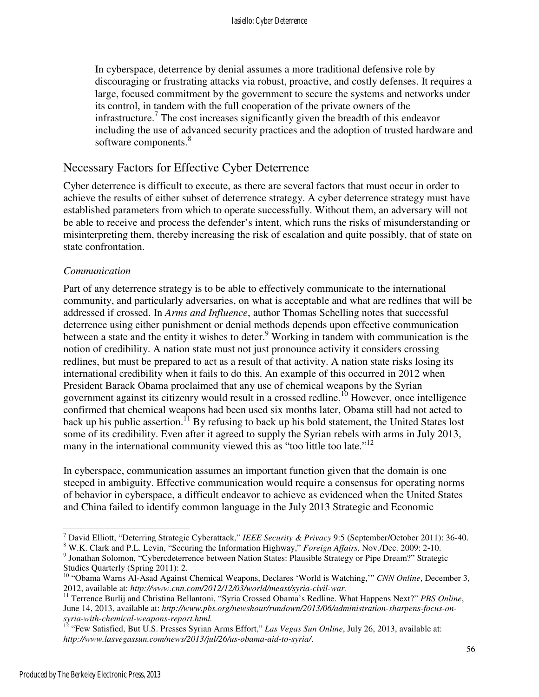In cyberspace, deterrence by denial assumes a more traditional defensive role by discouraging or frustrating attacks via robust, proactive, and costly defenses. It requires a large, focused commitment by the government to secure the systems and networks under its control, in tandem with the full cooperation of the private owners of the infrastructure.<sup>7</sup> The cost increases significantly given the breadth of this endeavor including the use of advanced security practices and the adoption of trusted hardware and software components.<sup>8</sup>

### Necessary Factors for Effective Cyber Deterrence

Cyber deterrence is difficult to execute, as there are several factors that must occur in order to achieve the results of either subset of deterrence strategy. A cyber deterrence strategy must have established parameters from which to operate successfully. Without them, an adversary will not be able to receive and process the defender's intent, which runs the risks of misunderstanding or misinterpreting them, thereby increasing the risk of escalation and quite possibly, that of state on state confrontation.

### *Communication*

Part of any deterrence strategy is to be able to effectively communicate to the international community, and particularly adversaries, on what is acceptable and what are redlines that will be addressed if crossed. In *Arms and Influence*, author Thomas Schelling notes that successful deterrence using either punishment or denial methods depends upon effective communication between a state and the entity it wishes to deter.<sup>9</sup> Working in tandem with communication is the notion of credibility. A nation state must not just pronounce activity it considers crossing redlines, but must be prepared to act as a result of that activity. A nation state risks losing its international credibility when it fails to do this. An example of this occurred in 2012 when President Barack Obama proclaimed that any use of chemical weapons by the Syrian government against its citizenry would result in a crossed redline.<sup>10</sup> However, once intelligence confirmed that chemical weapons had been used six months later, Obama still had not acted to back up his public assertion.<sup>11</sup> By refusing to back up his bold statement, the United States lost some of its credibility. Even after it agreed to supply the Syrian rebels with arms in July 2013, many in the international community viewed this as "too little too late."<sup>12</sup>

In cyberspace, communication assumes an important function given that the domain is one steeped in ambiguity. Effective communication would require a consensus for operating norms of behavior in cyberspace, a difficult endeavor to achieve as evidenced when the United States and China failed to identify common language in the July 2013 Strategic and Economic

-

<sup>7</sup> David Elliott, "Deterring Strategic Cyberattack," *IEEE Security & Privacy* 9:5 (September/October 2011): 36-40.

<sup>8</sup> W.K. Clark and P.L. Levin, "Securing the Information Highway," *Foreign Affairs,* Nov./Dec. 2009: 2-10. <sup>9</sup> Jonathan Solomon, "Cybercdeterrence between Nation States: Plausible Strategy or Pipe Dream?" Strategic Studies Quarterly (Spring 2011): 2.

<sup>10</sup> "Obama Warns Al-Asad Against Chemical Weapons, Declares 'World is Watching,'" *CNN Online*, December 3, 2012, available at: *http://www.cnn.com/2012/12/03/world/meast/syria-civil-war.*

<sup>11</sup> Terrence Burlij and Christina Bellantoni, "Syria Crossed Obama's Redline. What Happens Next?" *PBS Online*, June 14, 2013, available at: *http://www.pbs.org/newshour/rundown/2013/06/administration-sharpens-focus-onsyria-with-chemical-weapons-report.html.*

<sup>&</sup>lt;sup>12</sup> "Few Satisfied, But U.S. Presses Syrian Arms Effort," *Las Vegas Sun Online*, July 26, 2013, available at: *http://www.lasvegassun.com/news/2013/jul/26/us-obama-aid-to-syria/*.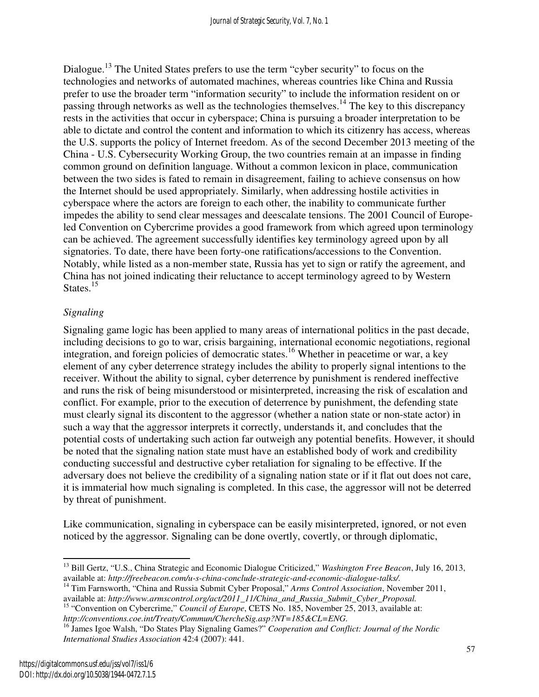Dialogue.<sup>13</sup> The United States prefers to use the term "cyber security" to focus on the technologies and networks of automated machines, whereas countries like China and Russia prefer to use the broader term "information security" to include the information resident on or passing through networks as well as the technologies themselves.<sup>14</sup> The key to this discrepancy rests in the activities that occur in cyberspace; China is pursuing a broader interpretation to be able to dictate and control the content and information to which its citizenry has access, whereas the U.S. supports the policy of Internet freedom. As of the second December 2013 meeting of the China - U.S. Cybersecurity Working Group, the two countries remain at an impasse in finding common ground on definition language. Without a common lexicon in place, communication between the two sides is fated to remain in disagreement, failing to achieve consensus on how the Internet should be used appropriately. Similarly, when addressing hostile activities in cyberspace where the actors are foreign to each other, the inability to communicate further impedes the ability to send clear messages and deescalate tensions. The 2001 Council of Europeled Convention on Cybercrime provides a good framework from which agreed upon terminology can be achieved. The agreement successfully identifies key terminology agreed upon by all signatories. To date, there have been forty-one ratifications/accessions to the Convention. Notably, while listed as a non-member state, Russia has yet to sign or ratify the agreement, and China has not joined indicating their reluctance to accept terminology agreed to by Western States.<sup>15</sup>

### *Signaling*

Signaling game logic has been applied to many areas of international politics in the past decade, including decisions to go to war, crisis bargaining, international economic negotiations, regional integration, and foreign policies of democratic states.<sup>16</sup> Whether in peacetime or war, a key element of any cyber deterrence strategy includes the ability to properly signal intentions to the receiver. Without the ability to signal, cyber deterrence by punishment is rendered ineffective and runs the risk of being misunderstood or misinterpreted, increasing the risk of escalation and conflict. For example, prior to the execution of deterrence by punishment, the defending state must clearly signal its discontent to the aggressor (whether a nation state or non-state actor) in such a way that the aggressor interprets it correctly, understands it, and concludes that the potential costs of undertaking such action far outweigh any potential benefits. However, it should be noted that the signaling nation state must have an established body of work and credibility conducting successful and destructive cyber retaliation for signaling to be effective. If the adversary does not believe the credibility of a signaling nation state or if it flat out does not care, it is immaterial how much signaling is completed. In this case, the aggressor will not be deterred by threat of punishment.

Like communication, signaling in cyberspace can be easily misinterpreted, ignored, or not even noticed by the aggressor. Signaling can be done overtly, covertly, or through diplomatic,

 $\overline{a}$ <sup>13</sup> Bill Gertz, "U.S., China Strategic and Economic Dialogue Criticized," *Washington Free Beacon*, July 16, 2013, available at: *http://freebeacon.com/u-s-china-conclude-strategic-and-economic-dialogue-talks/.*

<sup>&</sup>lt;sup>14</sup> Tim Farnsworth, "China and Russia Submit Cyber Proposal," Arms Control Association, November 2011,

available at: *http://www.armscontrol.org/act/2011\_11/China\_and\_Russia\_Submit\_Cyber\_Proposal.* <sup>15</sup> "Convention on Cybercrime," *Council of Europe*, CETS No. 185, November 25, 2013, available at:

*http://conventions.coe.int/Treaty/Commun/ChercheSig.asp?NT=185&CL=ENG.*

<sup>16</sup> James Igoe Walsh, "Do States Play Signaling Games?" *Cooperation and Conflict: Journal of the Nordic International Studies Association* 42:4 (2007): 441.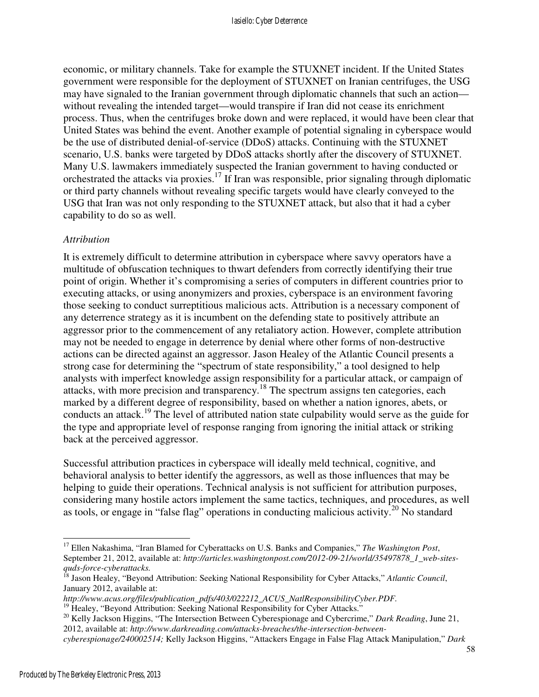economic, or military channels. Take for example the STUXNET incident. If the United States government were responsible for the deployment of STUXNET on Iranian centrifuges, the USG may have signaled to the Iranian government through diplomatic channels that such an action without revealing the intended target—would transpire if Iran did not cease its enrichment process. Thus, when the centrifuges broke down and were replaced, it would have been clear that United States was behind the event. Another example of potential signaling in cyberspace would be the use of distributed denial-of-service (DDoS) attacks. Continuing with the STUXNET scenario, U.S. banks were targeted by DDoS attacks shortly after the discovery of STUXNET. Many U.S. lawmakers immediately suspected the Iranian government to having conducted or orchestrated the attacks via proxies.<sup>17</sup> If Iran was responsible, prior signaling through diplomatic or third party channels without revealing specific targets would have clearly conveyed to the USG that Iran was not only responding to the STUXNET attack, but also that it had a cyber capability to do so as well.

#### *Attribution*

It is extremely difficult to determine attribution in cyberspace where savvy operators have a multitude of obfuscation techniques to thwart defenders from correctly identifying their true point of origin. Whether it's compromising a series of computers in different countries prior to executing attacks, or using anonymizers and proxies, cyberspace is an environment favoring those seeking to conduct surreptitious malicious acts. Attribution is a necessary component of any deterrence strategy as it is incumbent on the defending state to positively attribute an aggressor prior to the commencement of any retaliatory action. However, complete attribution may not be needed to engage in deterrence by denial where other forms of non-destructive actions can be directed against an aggressor. Jason Healey of the Atlantic Council presents a strong case for determining the "spectrum of state responsibility," a tool designed to help analysts with imperfect knowledge assign responsibility for a particular attack, or campaign of attacks, with more precision and transparency.<sup>18</sup> The spectrum assigns ten categories, each marked by a different degree of responsibility, based on whether a nation ignores, abets, or conducts an attack.<sup>19</sup> The level of attributed nation state culpability would serve as the guide for the type and appropriate level of response ranging from ignoring the initial attack or striking back at the perceived aggressor.

Successful attribution practices in cyberspace will ideally meld technical, cognitive, and behavioral analysis to better identify the aggressors, as well as those influences that may be helping to guide their operations. Technical analysis is not sufficient for attribution purposes, considering many hostile actors implement the same tactics, techniques, and procedures, as well as tools, or engage in "false flag" operations in conducting malicious activity.<sup>20</sup> No standard

<sup>20</sup> Kelly Jackson Higgins, "The Intersection Between Cyberespionage and Cybercrime," Dark Reading, June 21, 2012, available at: *http://www.darkreading.com/attacks-breaches/the-intersection-between-*

 $\overline{a}$ <sup>17</sup> Ellen Nakashima, "Iran Blamed for Cyberattacks on U.S. Banks and Companies," *The Washington Post*, September 21, 2012, available at: *http://articles.washingtonpost.com/2012-09-21/world/35497878\_1\_web-sitesquds-force-cyberattacks.*

<sup>&</sup>lt;sup>18</sup> Jason Healey, "Beyond Attribution: Seeking National Responsibility for Cyber Attacks," Atlantic Council, January 2012, available at:

*http://www.acus.org/files/publication\_pdfs/403/022212\_ACUS\_NatlResponsibilityCyber.PDF.*

<sup>&</sup>lt;sup>19</sup> Healey, "Beyond Attribution: Seeking National Responsibility for Cyber Attacks."

*cyberespionage/240002514;* Kelly Jackson Higgins, "Attackers Engage in False Flag Attack Manipulation," *Dark*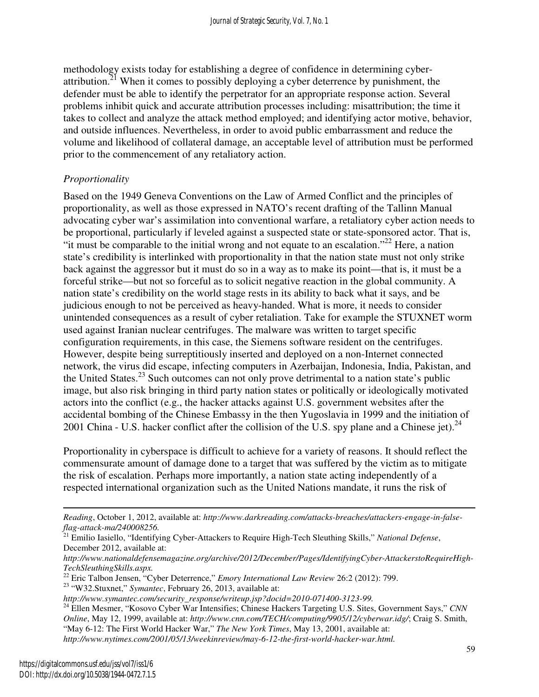methodology exists today for establishing a degree of confidence in determining cyberattribution.<sup>21</sup> When it comes to possibly deploying a cyber deterrence by punishment, the defender must be able to identify the perpetrator for an appropriate response action. Several problems inhibit quick and accurate attribution processes including: misattribution; the time it takes to collect and analyze the attack method employed; and identifying actor motive, behavior, and outside influences. Nevertheless, in order to avoid public embarrassment and reduce the volume and likelihood of collateral damage, an acceptable level of attribution must be performed prior to the commencement of any retaliatory action.

### *Proportionality*

Based on the 1949 Geneva Conventions on the Law of Armed Conflict and the principles of proportionality, as well as those expressed in NATO's recent drafting of the Tallinn Manual advocating cyber war's assimilation into conventional warfare, a retaliatory cyber action needs to be proportional, particularly if leveled against a suspected state or state-sponsored actor. That is, "it must be comparable to the initial wrong and not equate to an escalation."<sup>22</sup> Here, a nation state's credibility is interlinked with proportionality in that the nation state must not only strike back against the aggressor but it must do so in a way as to make its point—that is, it must be a forceful strike—but not so forceful as to solicit negative reaction in the global community. A nation state's credibility on the world stage rests in its ability to back what it says, and be judicious enough to not be perceived as heavy-handed. What is more, it needs to consider unintended consequences as a result of cyber retaliation. Take for example the STUXNET worm used against Iranian nuclear centrifuges. The malware was written to target specific configuration requirements, in this case, the Siemens software resident on the centrifuges. However, despite being surreptitiously inserted and deployed on a non-Internet connected network, the virus did escape, infecting computers in Azerbaijan, Indonesia, India, Pakistan, and the United States.<sup>23</sup> Such outcomes can not only prove detrimental to a nation state's public image, but also risk bringing in third party nation states or politically or ideologically motivated actors into the conflict (e.g., the hacker attacks against U.S. government websites after the accidental bombing of the Chinese Embassy in the then Yugoslavia in 1999 and the initiation of 2001 China - U.S. hacker conflict after the collision of the U.S. spy plane and a Chinese jet).  $^{24}$ 

Proportionality in cyberspace is difficult to achieve for a variety of reasons. It should reflect the commensurate amount of damage done to a target that was suffered by the victim as to mitigate the risk of escalation. Perhaps more importantly, a nation state acting independently of a respected international organization such as the United Nations mandate, it runs the risk of

<sup>24</sup> Ellen Mesmer, "Kosovo Cyber War Intensifies; Chinese Hackers Targeting U.S. Sites, Government Says," *CNN Online*, May 12, 1999, available at: *http://www.cnn.com/TECH/computing/9905/12/cyberwar.idg/*; Craig S. Smith, "May 6-12: The First World Hacker War," *The New York Times*, May 13, 2001, available at: *http://www.nytimes.com/2001/05/13/weekinreview/may-6-12-the-first-world-hacker-war.html.*

 $\overline{a}$ 

*Reading*, October 1, 2012, available at: *http://www.darkreading.com/attacks-breaches/attackers-engage-in-falseflag-attack-ma/240008256.*

<sup>21</sup> Emilio Iasiello, "Identifying Cyber-Attackers to Require High-Tech Sleuthing Skills," *National Defense*, December 2012, available at:

*http://www.nationaldefensemagazine.org/archive/2012/December/Pages/IdentifyingCyber-AttackerstoRequireHigh-TechSleuthingSkills.aspx.*

<sup>22</sup> Eric Talbon Jensen, "Cyber Deterrence," *Emory International Law Review* 26:2 (2012): 799.

<sup>23</sup> "W32.Stuxnet," *Symantec*, February 26, 2013, available at:

*http://www.symantec.com/security\_response/writeup.jsp?docid=2010-071400-3123-99.*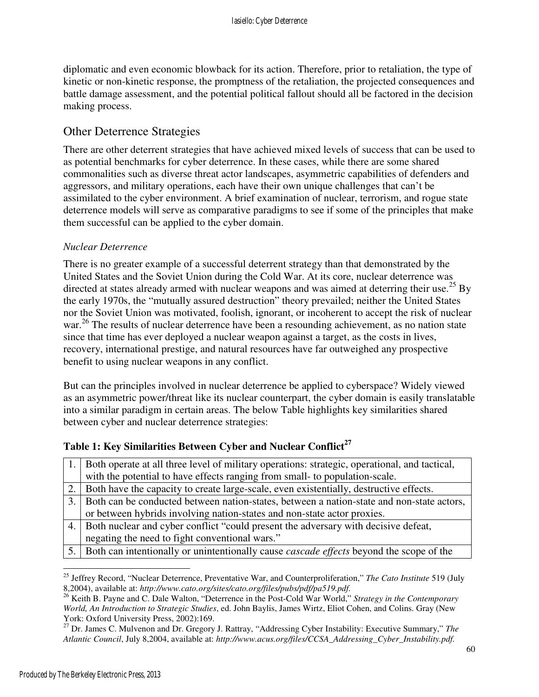diplomatic and even economic blowback for its action. Therefore, prior to retaliation, the type of kinetic or non-kinetic response, the promptness of the retaliation, the projected consequences and battle damage assessment, and the potential political fallout should all be factored in the decision making process.

## Other Deterrence Strategies

There are other deterrent strategies that have achieved mixed levels of success that can be used to as potential benchmarks for cyber deterrence. In these cases, while there are some shared commonalities such as diverse threat actor landscapes, asymmetric capabilities of defenders and aggressors, and military operations, each have their own unique challenges that can't be assimilated to the cyber environment. A brief examination of nuclear, terrorism, and rogue state deterrence models will serve as comparative paradigms to see if some of the principles that make them successful can be applied to the cyber domain.

### *Nuclear Deterrence*

There is no greater example of a successful deterrent strategy than that demonstrated by the United States and the Soviet Union during the Cold War. At its core, nuclear deterrence was directed at states already armed with nuclear weapons and was aimed at deterring their use.<sup>25</sup> By the early 1970s, the "mutually assured destruction" theory prevailed; neither the United States nor the Soviet Union was motivated, foolish, ignorant, or incoherent to accept the risk of nuclear war.<sup>26</sup> The results of nuclear deterrence have been a resounding achievement, as no nation state since that time has ever deployed a nuclear weapon against a target, as the costs in lives, recovery, international prestige, and natural resources have far outweighed any prospective benefit to using nuclear weapons in any conflict.

But can the principles involved in nuclear deterrence be applied to cyberspace? Widely viewed as an asymmetric power/threat like its nuclear counterpart, the cyber domain is easily translatable into a similar paradigm in certain areas. The below Table highlights key similarities shared between cyber and nuclear deterrence strategies:

### **Table 1: Key Similarities Between Cyber and Nuclear Conflict<sup>27</sup>**

|    | 1. Both operate at all three level of military operations: strategic, operational, and tactical,  |
|----|---------------------------------------------------------------------------------------------------|
|    | with the potential to have effects ranging from small- to population-scale.                       |
|    | 2. Both have the capacity to create large-scale, even existentially, destructive effects.         |
| 3. | Both can be conducted between nation-states, between a nation-state and non-state actors,         |
|    | or between hybrids involving nation-states and non-state actor proxies.                           |
|    | 4. Both nuclear and cyber conflict "could present the adversary with decisive defeat,             |
|    | negating the need to fight conventional wars."                                                    |
|    | 5. Both can intentionally or unintentionally cause <i>cascade effects</i> beyond the scope of the |

 $\overline{a}$ <sup>25</sup> Jeffrey Record, "Nuclear Deterrence, Preventative War, and Counterproliferation," *The Cato Institute* 519 (July 8,2004), available at: *http://www.cato.org/sites/cato.org/files/pubs/pdf/pa519.pdf.*

<sup>26</sup> Keith B. Payne and C. Dale Walton, "Deterrence in the Post-Cold War World," *Strategy in the Contemporary World, An Introduction to Strategic Studies*, ed. John Baylis, James Wirtz, Eliot Cohen, and Colins. Gray (New York: Oxford University Press, 2002):169.

<sup>27</sup> Dr. James C. Mulvenon and Dr. Gregory J. Rattray, "Addressing Cyber Instability: Executive Summary," *The Atlantic Council*, July 8,2004, available at: *http://www.acus.org/files/CCSA\_Addressing\_Cyber\_Instability.pdf.*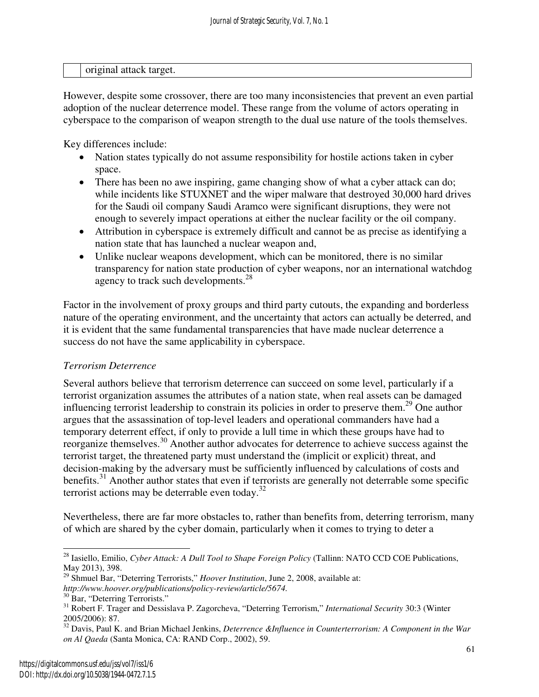| original<br>attack target. |  |
|----------------------------|--|

However, despite some crossover, there are too many inconsistencies that prevent an even partial adoption of the nuclear deterrence model. These range from the volume of actors operating in cyberspace to the comparison of weapon strength to the dual use nature of the tools themselves.

Key differences include:

- Nation states typically do not assume responsibility for hostile actions taken in cyber space.
- There has been no awe inspiring, game changing show of what a cyber attack can do; while incidents like STUXNET and the wiper malware that destroyed 30,000 hard drives for the Saudi oil company Saudi Aramco were significant disruptions, they were not enough to severely impact operations at either the nuclear facility or the oil company.
- Attribution in cyberspace is extremely difficult and cannot be as precise as identifying a nation state that has launched a nuclear weapon and,
- Unlike nuclear weapons development, which can be monitored, there is no similar transparency for nation state production of cyber weapons, nor an international watchdog agency to track such developments.<sup>28</sup>

Factor in the involvement of proxy groups and third party cutouts, the expanding and borderless nature of the operating environment, and the uncertainty that actors can actually be deterred, and it is evident that the same fundamental transparencies that have made nuclear deterrence a success do not have the same applicability in cyberspace.

## *Terrorism Deterrence*

Several authors believe that terrorism deterrence can succeed on some level, particularly if a terrorist organization assumes the attributes of a nation state, when real assets can be damaged influencing terrorist leadership to constrain its policies in order to preserve them.<sup>29</sup> One author argues that the assassination of top-level leaders and operational commanders have had a temporary deterrent effect, if only to provide a lull time in which these groups have had to reorganize themselves.<sup>30</sup> Another author advocates for deterrence to achieve success against the terrorist target, the threatened party must understand the (implicit or explicit) threat, and decision-making by the adversary must be sufficiently influenced by calculations of costs and benefits.<sup>31</sup> Another author states that even if terrorists are generally not deterrable some specific terrorist actions may be deterrable even today.<sup>32</sup>

Nevertheless, there are far more obstacles to, rather than benefits from, deterring terrorism, many of which are shared by the cyber domain, particularly when it comes to trying to deter a

 $\overline{a}$ <sup>28</sup> Iasiello, Emilio, *Cyber Attack: A Dull Tool to Shape Foreign Policy* (Tallinn: NATO CCD COE Publications, May 2013), 398.

<sup>29</sup> Shmuel Bar, "Deterring Terrorists," *Hoover Institution*, June 2, 2008, available at: *http://www.hoover.org/publications/policy-review/article/5674.*

<sup>&</sup>lt;sup>30</sup> Bar, "Deterring Terrorists."

<sup>31</sup> Robert F. Trager and Dessislava P. Zagorcheva, "Deterring Terrorism," *International Security* 30:3 (Winter 2005/2006): 87.

<sup>32</sup> Davis, Paul K. and Brian Michael Jenkins, *Deterrence &Influence in Counterterrorism: A Component in the War on Al Qaeda* (Santa Monica, CA: RAND Corp., 2002), 59.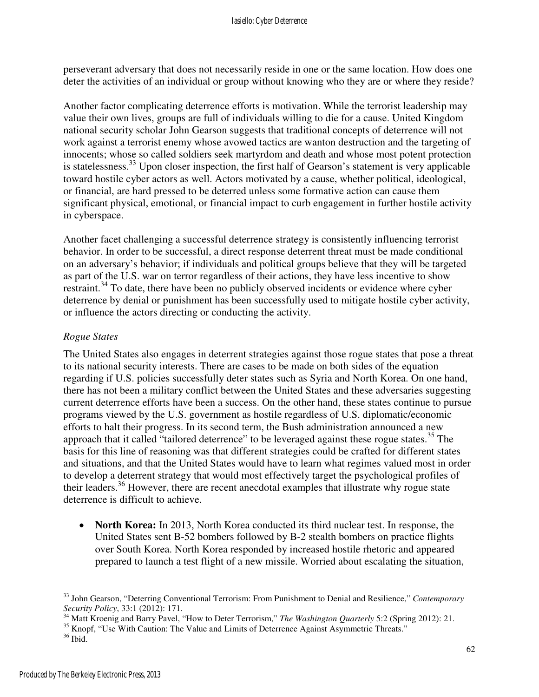perseverant adversary that does not necessarily reside in one or the same location. How does one deter the activities of an individual or group without knowing who they are or where they reside?

Another factor complicating deterrence efforts is motivation. While the terrorist leadership may value their own lives, groups are full of individuals willing to die for a cause. United Kingdom national security scholar John Gearson suggests that traditional concepts of deterrence will not work against a terrorist enemy whose avowed tactics are wanton destruction and the targeting of innocents; whose so called soldiers seek martyrdom and death and whose most potent protection is statelessness.<sup>33</sup> Upon closer inspection, the first half of Gearson's statement is very applicable toward hostile cyber actors as well. Actors motivated by a cause, whether political, ideological, or financial, are hard pressed to be deterred unless some formative action can cause them significant physical, emotional, or financial impact to curb engagement in further hostile activity in cyberspace.

Another facet challenging a successful deterrence strategy is consistently influencing terrorist behavior. In order to be successful, a direct response deterrent threat must be made conditional on an adversary's behavior; if individuals and political groups believe that they will be targeted as part of the U.S. war on terror regardless of their actions, they have less incentive to show restraint.<sup>34</sup> To date, there have been no publicly observed incidents or evidence where cyber deterrence by denial or punishment has been successfully used to mitigate hostile cyber activity, or influence the actors directing or conducting the activity.

### *Rogue States*

The United States also engages in deterrent strategies against those rogue states that pose a threat to its national security interests. There are cases to be made on both sides of the equation regarding if U.S. policies successfully deter states such as Syria and North Korea. On one hand, there has not been a military conflict between the United States and these adversaries suggesting current deterrence efforts have been a success. On the other hand, these states continue to pursue programs viewed by the U.S. government as hostile regardless of U.S. diplomatic/economic efforts to halt their progress. In its second term, the Bush administration announced a new approach that it called "tailored deterrence" to be leveraged against these rogue states.<sup>35</sup> The basis for this line of reasoning was that different strategies could be crafted for different states and situations, and that the United States would have to learn what regimes valued most in order to develop a deterrent strategy that would most effectively target the psychological profiles of their leaders.<sup>36</sup> However, there are recent anecdotal examples that illustrate why rogue state deterrence is difficult to achieve.

• **North Korea:** In 2013, North Korea conducted its third nuclear test. In response, the United States sent B-52 bombers followed by B-2 stealth bombers on practice flights over South Korea. North Korea responded by increased hostile rhetoric and appeared prepared to launch a test flight of a new missile. Worried about escalating the situation,

-

<sup>33</sup> John Gearson, "Deterring Conventional Terrorism: From Punishment to Denial and Resilience," *Contemporary Security Policy*, 33:1 (2012): 171.

<sup>&</sup>lt;sup>34</sup> Matt Kroenig and Barry Pavel, "How to Deter Terrorism," *The Washington Quarterly* 5:2 (Spring 2012): 21.

<sup>&</sup>lt;sup>35</sup> Knopf, "Use With Caution: The Value and Limits of Deterrence Against Asymmetric Threats."

<sup>36</sup> Ibid.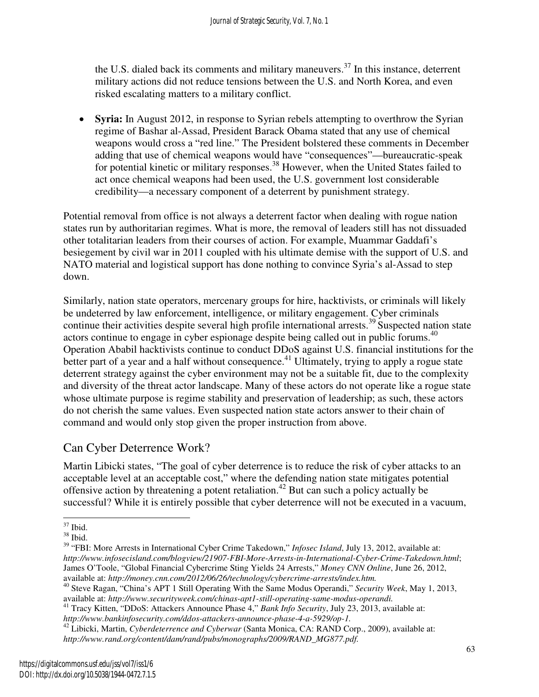the U.S. dialed back its comments and military maneuvers.<sup>37</sup> In this instance, deterrent military actions did not reduce tensions between the U.S. and North Korea, and even risked escalating matters to a military conflict.

• **Syria:** In August 2012, in response to Syrian rebels attempting to overthrow the Syrian regime of Bashar al-Assad, President Barack Obama stated that any use of chemical weapons would cross a "red line." The President bolstered these comments in December adding that use of chemical weapons would have "consequences"—bureaucratic-speak for potential kinetic or military responses.<sup>38</sup> However, when the United States failed to act once chemical weapons had been used, the U.S. government lost considerable credibility—a necessary component of a deterrent by punishment strategy.

Potential removal from office is not always a deterrent factor when dealing with rogue nation states run by authoritarian regimes. What is more, the removal of leaders still has not dissuaded other totalitarian leaders from their courses of action. For example, Muammar Gaddafi's besiegement by civil war in 2011 coupled with his ultimate demise with the support of U.S. and NATO material and logistical support has done nothing to convince Syria's al-Assad to step down.

Similarly, nation state operators, mercenary groups for hire, hacktivists, or criminals will likely be undeterred by law enforcement, intelligence, or military engagement. Cyber criminals continue their activities despite several high profile international arrests. $39$  Suspected nation state actors continue to engage in cyber espionage despite being called out in public forums.<sup>40</sup> Operation Ababil hacktivists continue to conduct DDoS against U.S. financial institutions for the better part of a year and a half without consequence.<sup>41</sup> Ultimately, trying to apply a rogue state deterrent strategy against the cyber environment may not be a suitable fit, due to the complexity and diversity of the threat actor landscape. Many of these actors do not operate like a rogue state whose ultimate purpose is regime stability and preservation of leadership; as such, these actors do not cherish the same values. Even suspected nation state actors answer to their chain of command and would only stop given the proper instruction from above.

## Can Cyber Deterrence Work?

Martin Libicki states, "The goal of cyber deterrence is to reduce the risk of cyber attacks to an acceptable level at an acceptable cost," where the defending nation state mitigates potential offensive action by threatening a potent retaliation.<sup>42</sup> But can such a policy actually be successful? While it is entirely possible that cyber deterrence will not be executed in a vacuum,

<sup>42</sup> Libicki, Martin, *Cyberdeterrence and Cyberwar* (Santa Monica, CA: RAND Corp., 2009), available at: *http://www.rand.org/content/dam/rand/pubs/monographs/2009/RAND\_MG877.pdf.*

<sup>-</sup> $37$  Ibid.

 $^{38}$  Ibid.

<sup>39</sup> "FBI: More Arrests in International Cyber Crime Takedown," *Infosec Island*, July 13, 2012, available at: *http://www.infosecisland.com/blogview/21907-FBI-More-Arrests-in-International-Cyber-Crime-Takedown.html*; James O'Toole, "Global Financial Cybercrime Sting Yields 24 Arrests," *Money CNN Online*, June 26, 2012, available at: *http://money.cnn.com/2012/06/26/technology/cybercrime-arrests/index.htm.*

<sup>40</sup> Steve Ragan, "China's APT 1 Still Operating With the Same Modus Operandi," *Security Week*, May 1, 2013, available at: *http://www.securityweek.com/chinas-apt1-still-operating-same-modus-operandi.*

<sup>41</sup> Tracy Kitten, "DDoS: Attackers Announce Phase 4," *Bank Info Security*, July 23, 2013, available at: *http://www.bankinfosecurity.com/ddos-attackers-announce-phase-4-a-5929/op-1.*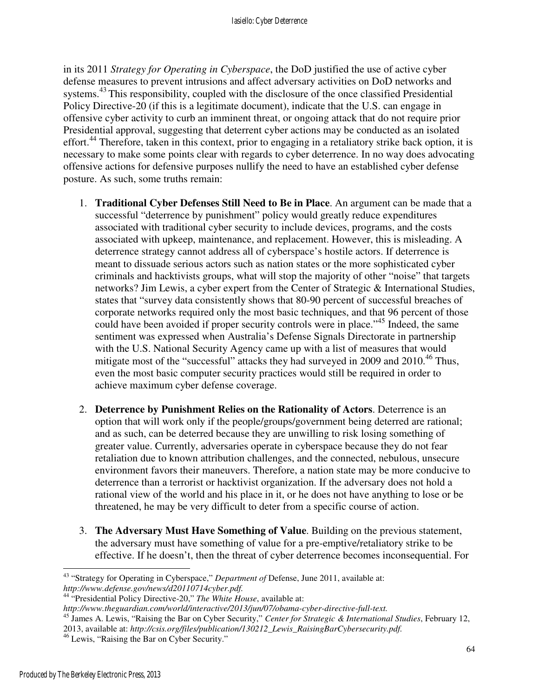#### Iasiello: Cyber Deterrence

in its 2011 *Strategy for Operating in Cyberspace*, the DoD justified the use of active cyber defense measures to prevent intrusions and affect adversary activities on DoD networks and systems.<sup>43</sup> This responsibility, coupled with the disclosure of the once classified Presidential Policy Directive-20 (if this is a legitimate document), indicate that the U.S. can engage in offensive cyber activity to curb an imminent threat, or ongoing attack that do not require prior Presidential approval, suggesting that deterrent cyber actions may be conducted as an isolated effort.<sup>44</sup> Therefore, taken in this context, prior to engaging in a retaliatory strike back option, it is necessary to make some points clear with regards to cyber deterrence. In no way does advocating offensive actions for defensive purposes nullify the need to have an established cyber defense posture. As such, some truths remain:

- 1. **Traditional Cyber Defenses Still Need to Be in Place**. An argument can be made that a successful "deterrence by punishment" policy would greatly reduce expenditures associated with traditional cyber security to include devices, programs, and the costs associated with upkeep, maintenance, and replacement. However, this is misleading. A deterrence strategy cannot address all of cyberspace's hostile actors. If deterrence is meant to dissuade serious actors such as nation states or the more sophisticated cyber criminals and hacktivists groups, what will stop the majority of other "noise" that targets networks? Jim Lewis, a cyber expert from the Center of Strategic & International Studies, states that "survey data consistently shows that 80-90 percent of successful breaches of corporate networks required only the most basic techniques, and that 96 percent of those could have been avoided if proper security controls were in place.<sup>45</sup> Indeed, the same sentiment was expressed when Australia's Defense Signals Directorate in partnership with the U.S. National Security Agency came up with a list of measures that would mitigate most of the "successful" attacks they had surveyed in 2009 and 2010.<sup>46</sup> Thus, even the most basic computer security practices would still be required in order to achieve maximum cyber defense coverage.
- 2. **Deterrence by Punishment Relies on the Rationality of Actors**. Deterrence is an option that will work only if the people/groups/government being deterred are rational; and as such, can be deterred because they are unwilling to risk losing something of greater value. Currently, adversaries operate in cyberspace because they do not fear retaliation due to known attribution challenges, and the connected, nebulous, unsecure environment favors their maneuvers. Therefore, a nation state may be more conducive to deterrence than a terrorist or hacktivist organization. If the adversary does not hold a rational view of the world and his place in it, or he does not have anything to lose or be threatened, he may be very difficult to deter from a specific course of action.
- 3. **The Adversary Must Have Something of Value**. Building on the previous statement, the adversary must have something of value for a pre-emptive/retaliatory strike to be effective. If he doesn't, then the threat of cyber deterrence becomes inconsequential. For

2013, available at: *http://csis.org/files/publication/130212\_Lewis\_RaisingBarCybersecurity.pdf.*

<sup>-</sup><sup>43</sup> "Strategy for Operating in Cyberspace," *Department of* Defense, June 2011, available at: *http://www.defense.gov/news/d20110714cyber.pdf.*

<sup>44</sup> "Presidential Policy Directive-20," *The White House*, available at:

*http://www.theguardian.com/world/interactive/2013/jun/07/obama-cyber-directive-full-text.*

<sup>45</sup> James A. Lewis, "Raising the Bar on Cyber Security," *Center for Strategic & International Studies*, February 12,

<sup>46</sup> Lewis, "Raising the Bar on Cyber Security."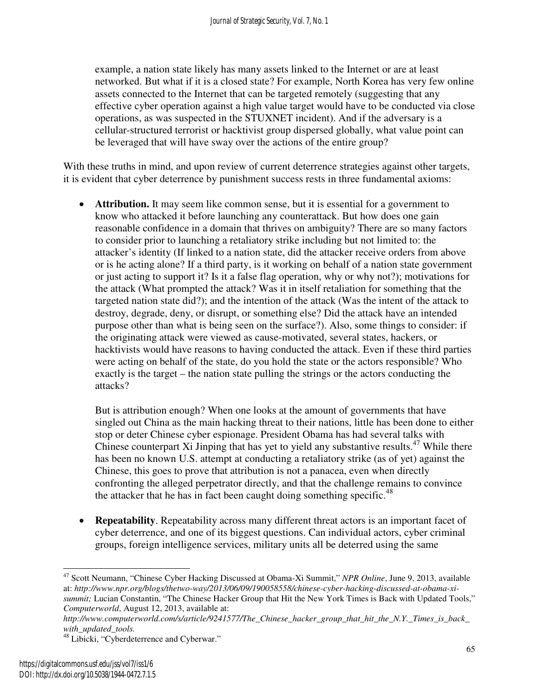example, a nation state likely has many assets linked to the Internet or are at least networked. But what if it is a closed state? For example, North Korea has very few online assets connected to the Internet that can be targeted remotely (suggesting that any effective cyber operation against a high value target would have to be conducted via close operations, as was suspected in the STUXNET incident). And if the adversary is a cellular-structured terrorist or hacktivist group dispersed globally, what value point can be leveraged that will have sway over the actions of the entire group?

With these truths in mind, and upon review of current deterrence strategies against other targets, it is evident that cyber deterrence by punishment success rests in three fundamental axioms:

Attribution. It may seem like common sense, but it is essential for a government to know who attacked it before launching any counterattack. But how does one gain reasonable confidence in a domain that thrives on ambiguity? There are so many factors to consider prior to launching a retaliatory strike including but not limited to: the attacker's identity (If linked to a nation state, did the attacker receive orders from above or is he acting alone? If a third party, is it working on behalf of a nation state government or just acting to support it? Is it a false flag operation, why or why not?); motivations for the attack (What prompted the attack? Was it in itself retaliation for something that the targeted nation state did?); and the intention of the attack (Was the intent of the attack to destroy, degrade, deny, or disrupt, or something else? Did the attack have an intended purpose other than what is being seen on the surface?). Also, some things to consider: if the originating attack were viewed as cause-motivated, several states, hackers, or hacktivists would have reasons to having conducted the attack. Even if these third parties were acting on behalf of the state, do you hold the state or the actors responsible? Who exactly is the target – the nation state pulling the strings or the actors conducting the attacks?

But is attribution enough? When one looks at the amount of governments that have singled out China as the main hacking threat to their nations, little has been done to either stop or deter Chinese cyber espionage. President Obama has had several talks with Chinese counterpart Xi Jinping that has yet to yield any substantive results.<sup>47</sup> While there has been no known U.S. attempt at conducting a retaliatory strike (as of yet) against the Chinese, this goes to prove that attribution is not a panacea, even when directly confronting the alleged perpetrator directly, and that the challenge remains to convince the attacker that he has in fact been caught doing something specific.<sup>48</sup>

• **Repeatability**. Repeatability across many different threat actors is an important facet of cyber deterrence, and one of its biggest questions. Can individual actors, cyber criminal groups, foreign intelligence services, military units all be deterred using the same

 $\overline{a}$ <sup>47</sup> Scott Neumann, "Chinese Cyber Hacking Discussed at Obama-Xi Summit," *NPR Online*, June 9, 2013, available at: *http://www.npr.org/blogs/thetwo-way/2013/06/09/190058558/chinese-cyber-hacking-discussed-at-obama-xisummit;* Lucian Constantin, "The Chinese Hacker Group that Hit the New York Times is Back with Updated Tools," *Computerworld*, August 12, 2013, available at:

*http://www.computerworld.com/s/article/9241577/The\_Chinese\_hacker\_group\_that\_hit\_the\_N.Y.\_Times\_is\_back\_ with\_updated\_tools.*

<sup>&</sup>lt;sup>48</sup> Libicki, "Cyberdeterrence and Cyberwar."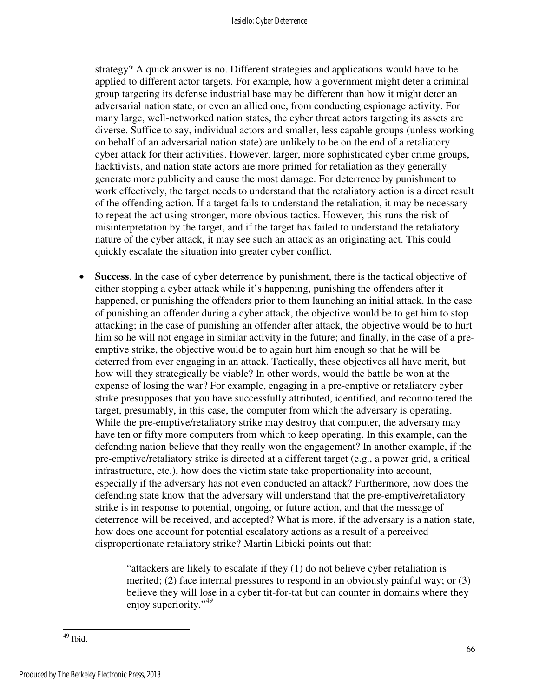strategy? A quick answer is no. Different strategies and applications would have to be applied to different actor targets. For example, how a government might deter a criminal group targeting its defense industrial base may be different than how it might deter an adversarial nation state, or even an allied one, from conducting espionage activity. For many large, well-networked nation states, the cyber threat actors targeting its assets are diverse. Suffice to say, individual actors and smaller, less capable groups (unless working on behalf of an adversarial nation state) are unlikely to be on the end of a retaliatory cyber attack for their activities. However, larger, more sophisticated cyber crime groups, hacktivists, and nation state actors are more primed for retaliation as they generally generate more publicity and cause the most damage. For deterrence by punishment to work effectively, the target needs to understand that the retaliatory action is a direct result of the offending action. If a target fails to understand the retaliation, it may be necessary to repeat the act using stronger, more obvious tactics. However, this runs the risk of misinterpretation by the target, and if the target has failed to understand the retaliatory nature of the cyber attack, it may see such an attack as an originating act. This could quickly escalate the situation into greater cyber conflict.

• **Success**. In the case of cyber deterrence by punishment, there is the tactical objective of either stopping a cyber attack while it's happening, punishing the offenders after it happened, or punishing the offenders prior to them launching an initial attack. In the case of punishing an offender during a cyber attack, the objective would be to get him to stop attacking; in the case of punishing an offender after attack, the objective would be to hurt him so he will not engage in similar activity in the future; and finally, in the case of a preemptive strike, the objective would be to again hurt him enough so that he will be deterred from ever engaging in an attack. Tactically, these objectives all have merit, but how will they strategically be viable? In other words, would the battle be won at the expense of losing the war? For example, engaging in a pre-emptive or retaliatory cyber strike presupposes that you have successfully attributed, identified, and reconnoitered the target, presumably, in this case, the computer from which the adversary is operating. While the pre-emptive/retaliatory strike may destroy that computer, the adversary may have ten or fifty more computers from which to keep operating. In this example, can the defending nation believe that they really won the engagement? In another example, if the pre-emptive/retaliatory strike is directed at a different target (e.g., a power grid, a critical infrastructure, etc.), how does the victim state take proportionality into account, especially if the adversary has not even conducted an attack? Furthermore, how does the defending state know that the adversary will understand that the pre-emptive/retaliatory strike is in response to potential, ongoing, or future action, and that the message of deterrence will be received, and accepted? What is more, if the adversary is a nation state, how does one account for potential escalatory actions as a result of a perceived disproportionate retaliatory strike? Martin Libicki points out that:

> "attackers are likely to escalate if they (1) do not believe cyber retaliation is merited; (2) face internal pressures to respond in an obviously painful way; or (3) believe they will lose in a cyber tit-for-tat but can counter in domains where they enjoy superiority."<sup>49</sup>

<sup>-</sup> $49$  Ibid.